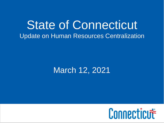### State of Connecticut Update on Human Resources Centralization

### March 12, 2021

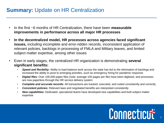### **Summary: Update on HR Centralization**

- In the first ~6 months of HR Centralization, there have been **measurable improvements in performance across all major HR processes**
- **In the decentralized model, HR processes across agencies faced significant issues,** including incomplete and error-ridden records, inconsistent application of relevant policies, backlogs in processing of FMLA and Military leaves, and limited subject matter expertise, among other issues
- Even in early stages, the centralized HR organization is demonstrating **several significant benefits:**
	- *Speed and flexibility:* Ability to load balance work across the state has led to the elimination of backlogs and increased the ability to pivot to emerging priorities, such as emergency hiring for pandemic response
	- *Digital files:* Over 100,000 paper files (note: average 100 pages per file) have been digitized, and processes are now paperless through the HR service delivery system
	- *Complete and accurate records:* All transactions are tracked, executed, and coded consistently and correctly
	- *Consistent policies:* Relevant laws and negotiated benefits are interpreted consistently
	- *New capabilities:* Dedicated, specialized teams have developed new capabilities and built subject matter expertise

# Connecticut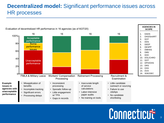### **Decentralized model:** Significant performance issues across HR processes



# Connecticut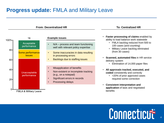#### **Progress update: FMLA and Military Leave**



## Connecticut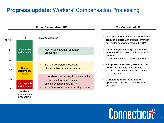#### **Progress update:** Workers' Compensation Processing



## Connecticut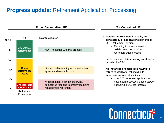### **Progress update:** Retirement Application Processing



## Connecticut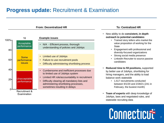### **Progress update: Recruitment & Examination**



## Connecticut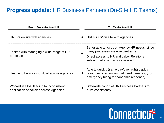### **Progress update:** HR Business Partners (On-Site HR Teams)

| <b>From: Decentralized HR</b>                                                       | <b>To: Centralized HR</b>                                                                                                                                  |
|-------------------------------------------------------------------------------------|------------------------------------------------------------------------------------------------------------------------------------------------------------|
| HRBPs on site with agencies                                                         | HRBPs <i>still</i> on site with agencies<br>$\rightarrow$                                                                                                  |
| Tasked with managing a wide range of HR                                             | Better able to focus on Agency HR needs, since<br>many processes are now centralized<br>→                                                                  |
| processes                                                                           | Direct access to HR and Labor Relations<br>subject matter experts as needed                                                                                |
| Unable to balance workload across agencies                                          | Able to quickly (same day/overnight) deploy<br>resources to agencies that need them (e.g., for<br>$\rightarrow$<br>emergency hiring for pandemic response) |
| Worked in silos, leading to inconsistent<br>application of policies across Agencies | Statewide cohort of HR Business Partners to<br>drive consistency                                                                                           |

# Connecticut